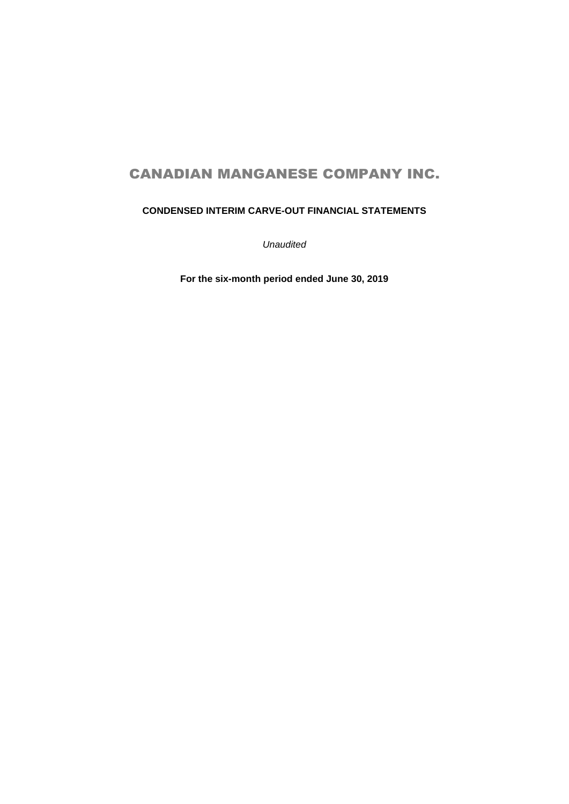# **CONDENSED INTERIM CARVE-OUT FINANCIAL STATEMENTS**

*Unaudited* 

**For the six-month period ended June 30, 2019**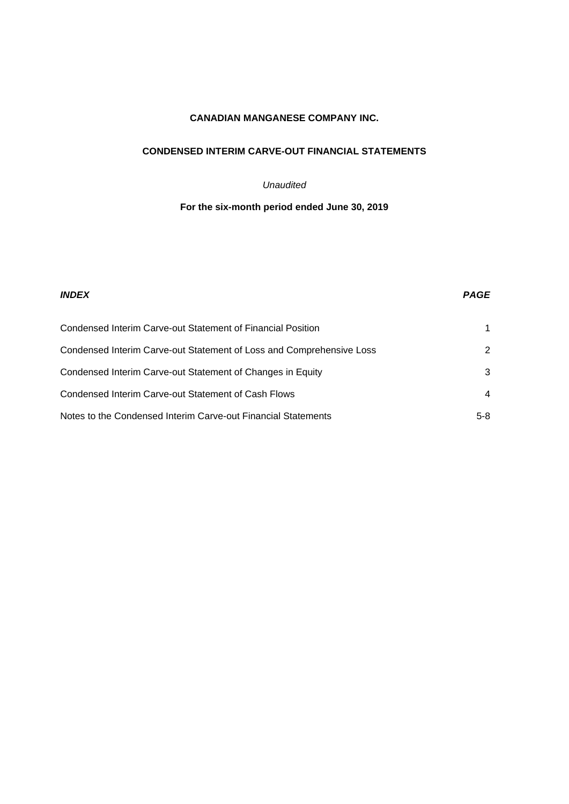## **CONDENSED INTERIM CARVE-OUT FINANCIAL STATEMENTS**

## *Unaudited*

## **For the six-month period ended June 30, 2019**

| <b>INDEX</b>                                                         | <b>PAGE</b> |
|----------------------------------------------------------------------|-------------|
| Condensed Interim Carve-out Statement of Financial Position          |             |
| Condensed Interim Carve-out Statement of Loss and Comprehensive Loss | 2           |
| Condensed Interim Carve-out Statement of Changes in Equity           | 3           |
| Condensed Interim Carve-out Statement of Cash Flows                  | 4           |
| Notes to the Condensed Interim Carve-out Financial Statements        | $5-8$       |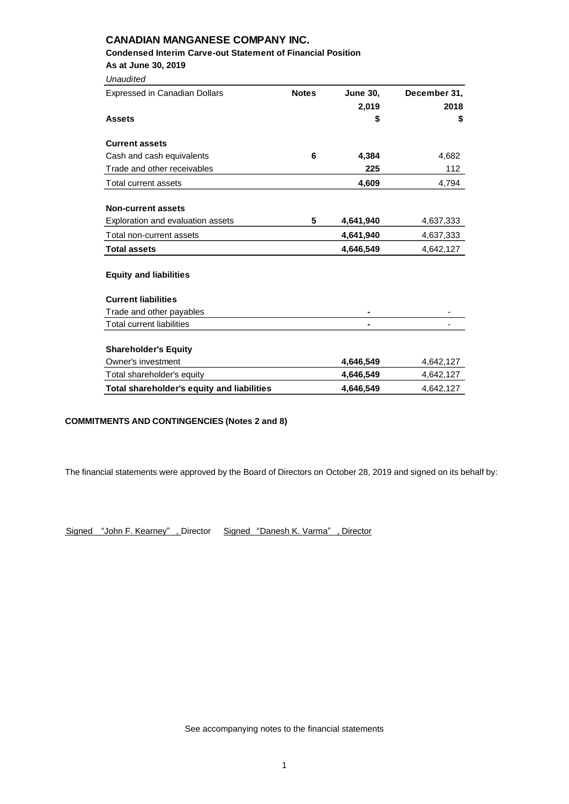## **Condensed Interim Carve-out Statement of Financial Position**

**As at June 30, 2019**

| Unaudited                                  |              |                 |              |
|--------------------------------------------|--------------|-----------------|--------------|
| Expressed in Canadian Dollars              | <b>Notes</b> | <b>June 30,</b> | December 31, |
|                                            |              | 2,019           | 2018         |
| <b>Assets</b>                              |              | \$              | \$           |
| <b>Current assets</b>                      |              |                 |              |
| Cash and cash equivalents                  | 6            | 4,384           | 4,682        |
| Trade and other receivables                |              | 225             | 112          |
| Total current assets                       |              | 4,609           | 4,794        |
| <b>Non-current assets</b>                  |              |                 |              |
| Exploration and evaluation assets          | 5            | 4,641,940       | 4,637,333    |
| Total non-current assets                   |              | 4,641,940       | 4,637,333    |
| <b>Total assets</b>                        |              | 4,646,549       | 4,642,127    |
| <b>Equity and liabilities</b>              |              |                 |              |
| <b>Current liabilities</b>                 |              |                 |              |
| Trade and other payables                   |              |                 |              |
| <b>Total current liabilities</b>           |              | -               |              |
| <b>Shareholder's Equity</b>                |              |                 |              |
| Owner's investment                         |              | 4,646,549       | 4,642,127    |
| Total shareholder's equity                 |              | 4,646,549       | 4,642,127    |
| Total shareholder's equity and liabilities |              | 4,646,549       | 4,642,127    |

## **COMMITMENTS AND CONTINGENCIES (Notes 2 and 8)**

The financial statements were approved by the Board of Directors on October 28, 2019 and signed on its behalf by:

Signed "John F. Kearney" , Director Signed "Danesh K. Varma" , Director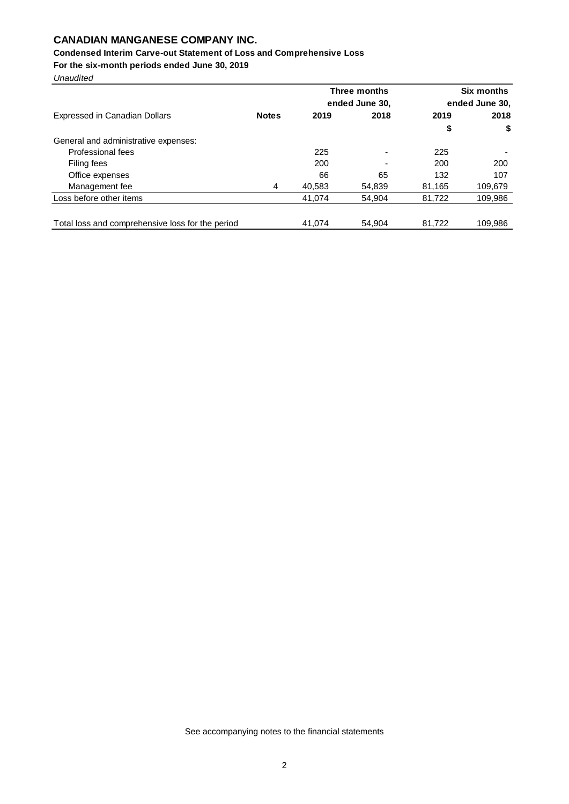## **Condensed Interim Carve-out Statement of Loss and Comprehensive Loss**

**For the six-month periods ended June 30, 2019**

*Unaudited*

|                                                  |              |        | Three months             |        | <b>Six months</b> |
|--------------------------------------------------|--------------|--------|--------------------------|--------|-------------------|
|                                                  |              |        | ended June 30,           |        | ended June 30,    |
| Expressed in Canadian Dollars                    | <b>Notes</b> | 2019   | 2018                     | 2019   | 2018              |
|                                                  |              |        |                          | \$     | \$                |
| General and administrative expenses:             |              |        |                          |        |                   |
| Professional fees                                |              | 225    | $\overline{\phantom{a}}$ | 225    |                   |
| Filing fees                                      |              | 200    | $\overline{\phantom{0}}$ | 200    | 200               |
| Office expenses                                  |              | 66     | 65                       | 132    | 107               |
| Management fee                                   | 4            | 40,583 | 54,839                   | 81,165 | 109,679           |
| Loss before other items                          |              | 41.074 | 54.904                   | 81,722 | 109,986           |
|                                                  |              |        |                          |        |                   |
| Total loss and comprehensive loss for the period |              | 41.074 | 54.904                   | 81,722 | 109,986           |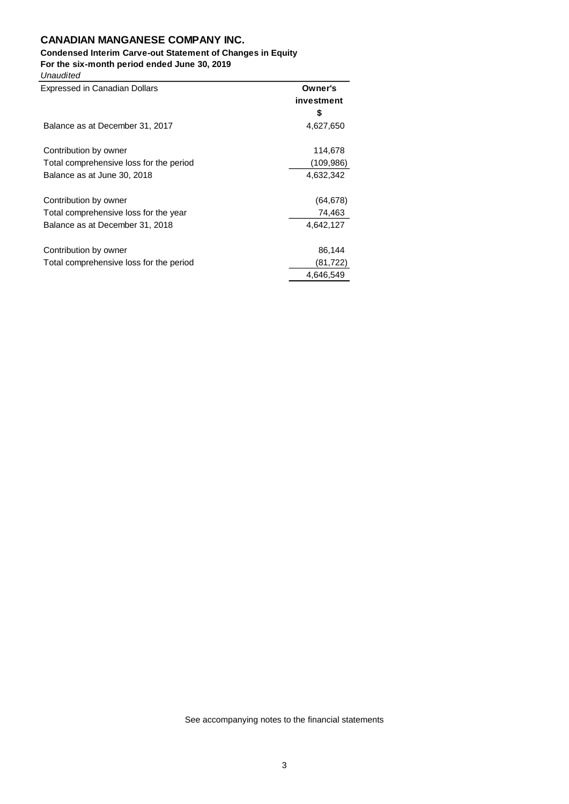# **Condensed Interim Carve-out Statement of Changes in Equity**

**For the six-month period ended June 30, 2019**

| Unaudited |
|-----------|
|           |

| <b>Expressed in Canadian Dollars</b>    | Owner's    |
|-----------------------------------------|------------|
|                                         | investment |
|                                         | 5          |
| Balance as at December 31, 2017         | 4,627,650  |
| Contribution by owner                   | 114,678    |
| Total comprehensive loss for the period | (109, 986) |
| Balance as at June 30, 2018             | 4,632,342  |
| Contribution by owner                   | (64, 678)  |
| Total comprehensive loss for the year   | 74,463     |
| Balance as at December 31, 2018         | 4,642,127  |
| Contribution by owner                   | 86,144     |
| Total comprehensive loss for the period | (81,722)   |
|                                         | 4.646.549  |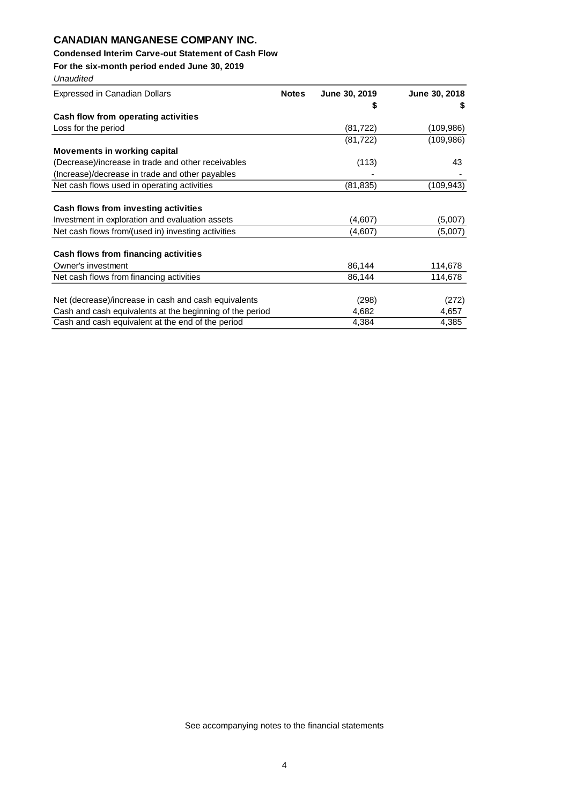## **Condensed Interim Carve-out Statement of Cash Flow**

**For the six-month period ended June 30, 2019**

| Unaudited                                                |              |               |               |
|----------------------------------------------------------|--------------|---------------|---------------|
| <b>Expressed in Canadian Dollars</b>                     | <b>Notes</b> | June 30, 2019 | June 30, 2018 |
|                                                          |              |               |               |
| Cash flow from operating activities                      |              |               |               |
| Loss for the period                                      |              | (81, 722)     | (109, 986)    |
|                                                          |              | (81, 722)     | (109, 986)    |
| <b>Movements in working capital</b>                      |              |               |               |
| (Decrease)/increase in trade and other receivables       |              | (113)         | 43            |
| (Increase)/decrease in trade and other payables          |              |               |               |
| Net cash flows used in operating activities              |              | (81, 835)     | (109, 943)    |
|                                                          |              |               |               |
| Cash flows from investing activities                     |              |               |               |
| Investment in exploration and evaluation assets          |              | (4,607)       | (5,007)       |
| Net cash flows from/(used in) investing activities       |              | (4,607)       | (5,007)       |
| Cash flows from financing activities                     |              |               |               |
| Owner's investment                                       |              | 86,144        | 114,678       |
| Net cash flows from financing activities                 |              | 86,144        | 114,678       |
| Net (decrease)/increase in cash and cash equivalents     |              | (298)         | (272)         |
| Cash and cash equivalents at the beginning of the period |              | 4,682         | 4,657         |
|                                                          |              |               |               |
| Cash and cash equivalent at the end of the period        |              | 4,384         | 4,385         |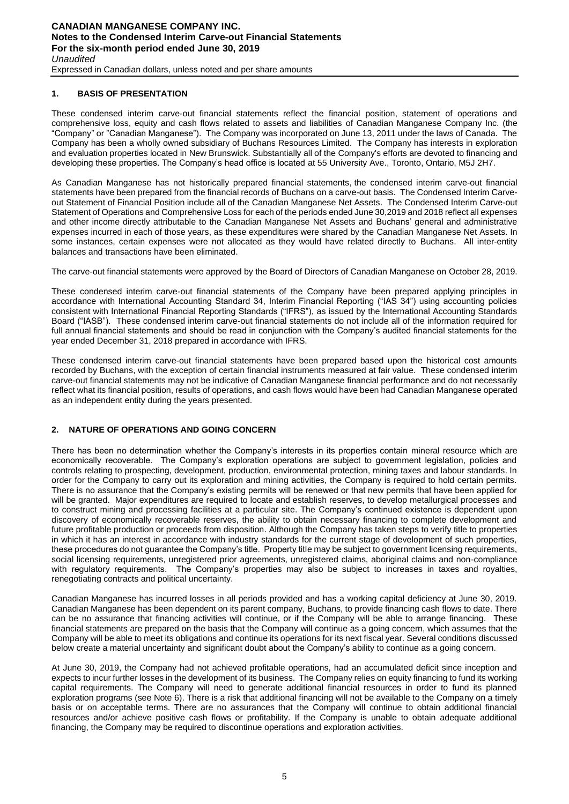## **1. BASIS OF PRESENTATION**

These condensed interim carve-out financial statements reflect the financial position, statement of operations and comprehensive loss, equity and cash flows related to assets and liabilities of Canadian Manganese Company Inc. (the "Company" or "Canadian Manganese"). The Company was incorporated on June 13, 2011 under the laws of Canada. The Company has been a wholly owned subsidiary of Buchans Resources Limited. The Company has interests in exploration and evaluation properties located in New Brunswick. Substantially all of the Company's efforts are devoted to financing and developing these properties. The Company's head office is located at 55 University Ave., Toronto, Ontario, M5J 2H7.

As Canadian Manganese has not historically prepared financial statements, the condensed interim carve-out financial statements have been prepared from the financial records of Buchans on a carve-out basis. The Condensed Interim Carveout Statement of Financial Position include all of the Canadian Manganese Net Assets. The Condensed Interim Carve-out Statement of Operations and Comprehensive Loss for each of the periods ended June 30,2019 and 2018 reflect all expenses and other income directly attributable to the Canadian Manganese Net Assets and Buchans' general and administrative expenses incurred in each of those years, as these expenditures were shared by the Canadian Manganese Net Assets. In some instances, certain expenses were not allocated as they would have related directly to Buchans. All inter-entity balances and transactions have been eliminated.

The carve-out financial statements were approved by the Board of Directors of Canadian Manganese on October 28, 2019.

These condensed interim carve-out financial statements of the Company have been prepared applying principles in accordance with International Accounting Standard 34, Interim Financial Reporting ("IAS 34") using accounting policies consistent with International Financial Reporting Standards ("IFRS"), as issued by the International Accounting Standards Board ("IASB"). These condensed interim carve-out financial statements do not include all of the information required for full annual financial statements and should be read in conjunction with the Company's audited financial statements for the year ended December 31, 2018 prepared in accordance with IFRS.

These condensed interim carve-out financial statements have been prepared based upon the historical cost amounts recorded by Buchans, with the exception of certain financial instruments measured at fair value. These condensed interim carve-out financial statements may not be indicative of Canadian Manganese financial performance and do not necessarily reflect what its financial position, results of operations, and cash flows would have been had Canadian Manganese operated as an independent entity during the years presented.

## **2. NATURE OF OPERATIONS AND GOING CONCERN**

There has been no determination whether the Company's interests in its properties contain mineral resource which are economically recoverable. The Company's exploration operations are subject to government legislation, policies and controls relating to prospecting, development, production, environmental protection, mining taxes and labour standards. In order for the Company to carry out its exploration and mining activities, the Company is required to hold certain permits. There is no assurance that the Company's existing permits will be renewed or that new permits that have been applied for will be granted. Major expenditures are required to locate and establish reserves, to develop metallurgical processes and to construct mining and processing facilities at a particular site. The Company's continued existence is dependent upon discovery of economically recoverable reserves, the ability to obtain necessary financing to complete development and future profitable production or proceeds from disposition. Although the Company has taken steps to verify title to properties in which it has an interest in accordance with industry standards for the current stage of development of such properties, these procedures do not guarantee the Company's title. Property title may be subject to government licensing requirements, social licensing requirements, unregistered prior agreements, unregistered claims, aboriginal claims and non-compliance with regulatory requirements. The Company's properties may also be subject to increases in taxes and royalties, renegotiating contracts and political uncertainty.

Canadian Manganese has incurred losses in all periods provided and has a working capital deficiency at June 30, 2019. Canadian Manganese has been dependent on its parent company, Buchans, to provide financing cash flows to date. There can be no assurance that financing activities will continue, or if the Company will be able to arrange financing. These financial statements are prepared on the basis that the Company will continue as a going concern, which assumes that the Company will be able to meet its obligations and continue its operations for its next fiscal year. Several conditions discussed below create a material uncertainty and significant doubt about the Company's ability to continue as a going concern.

At June 30, 2019, the Company had not achieved profitable operations, had an accumulated deficit since inception and expects to incur further losses in the development of its business. The Company relies on equity financing to fund its working capital requirements. The Company will need to generate additional financial resources in order to fund its planned exploration programs (see Note 6). There is a risk that additional financing will not be available to the Company on a timely basis or on acceptable terms. There are no assurances that the Company will continue to obtain additional financial resources and/or achieve positive cash flows or profitability. If the Company is unable to obtain adequate additional financing, the Company may be required to discontinue operations and exploration activities.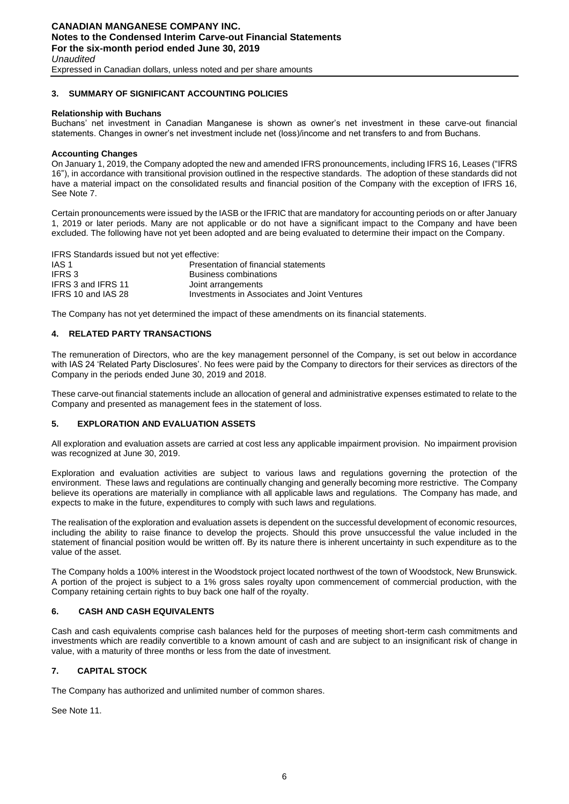Expressed in Canadian dollars, unless noted and per share amounts

# **3. SUMMARY OF SIGNIFICANT ACCOUNTING POLICIES**

## **Relationship with Buchans**

Buchans' net investment in Canadian Manganese is shown as owner's net investment in these carve-out financial statements. Changes in owner's net investment include net (loss)/income and net transfers to and from Buchans.

## **Accounting Changes**

On January 1, 2019, the Company adopted the new and amended IFRS pronouncements, including IFRS 16, Leases ("IFRS 16"), in accordance with transitional provision outlined in the respective standards. The adoption of these standards did not have a material impact on the consolidated results and financial position of the Company with the exception of IFRS 16, See Note 7.

Certain pronouncements were issued by the IASB or the IFRIC that are mandatory for accounting periods on or after January 1, 2019 or later periods. Many are not applicable or do not have a significant impact to the Company and have been excluded. The following have not yet been adopted and are being evaluated to determine their impact on the Company.

IFRS Standards issued but not yet effective:

| IAS 1              | Presentation of financial statements         |
|--------------------|----------------------------------------------|
| IFRS 3             | Business combinations                        |
| IFRS 3 and IFRS 11 | Joint arrangements                           |
| IFRS 10 and IAS 28 | Investments in Associates and Joint Ventures |

The Company has not yet determined the impact of these amendments on its financial statements.

## **4. RELATED PARTY TRANSACTIONS**

The remuneration of Directors, who are the key management personnel of the Company, is set out below in accordance with IAS 24 'Related Party Disclosures'. No fees were paid by the Company to directors for their services as directors of the Company in the periods ended June 30, 2019 and 2018.

These carve-out financial statements include an allocation of general and administrative expenses estimated to relate to the Company and presented as management fees in the statement of loss.

## **5. EXPLORATION AND EVALUATION ASSETS**

All exploration and evaluation assets are carried at cost less any applicable impairment provision. No impairment provision was recognized at June 30, 2019.

Exploration and evaluation activities are subject to various laws and regulations governing the protection of the environment. These laws and regulations are continually changing and generally becoming more restrictive. The Company believe its operations are materially in compliance with all applicable laws and regulations. The Company has made, and expects to make in the future, expenditures to comply with such laws and regulations.

The realisation of the exploration and evaluation assets is dependent on the successful development of economic resources, including the ability to raise finance to develop the projects. Should this prove unsuccessful the value included in the statement of financial position would be written off. By its nature there is inherent uncertainty in such expenditure as to the value of the asset.

The Company holds a 100% interest in the Woodstock project located northwest of the town of Woodstock, New Brunswick. A portion of the project is subject to a 1% gross sales royalty upon commencement of commercial production, with the Company retaining certain rights to buy back one half of the royalty.

## **6. CASH AND CASH EQUIVALENTS**

Cash and cash equivalents comprise cash balances held for the purposes of meeting short-term cash commitments and investments which are readily convertible to a known amount of cash and are subject to an insignificant risk of change in value, with a maturity of three months or less from the date of investment.

## **7. CAPITAL STOCK**

The Company has authorized and unlimited number of common shares.

See Note 11.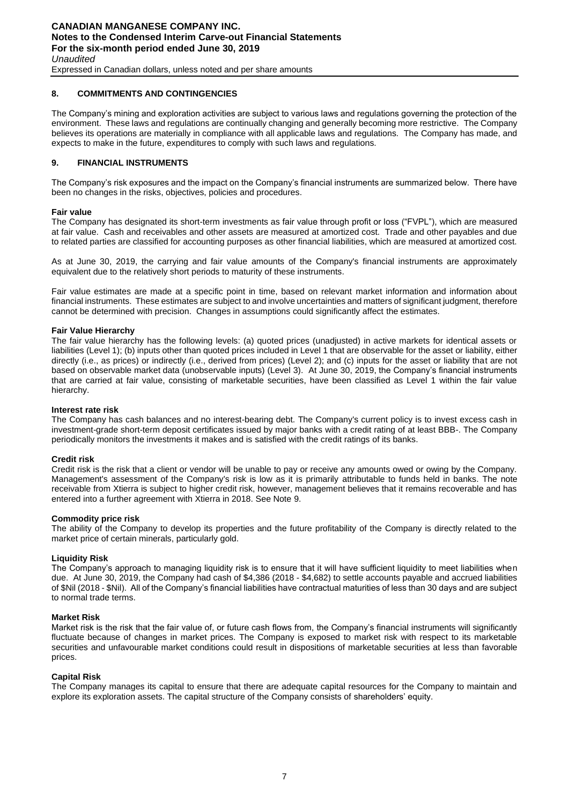## **8. COMMITMENTS AND CONTINGENCIES**

The Company's mining and exploration activities are subject to various laws and regulations governing the protection of the environment. These laws and regulations are continually changing and generally becoming more restrictive. The Company believes its operations are materially in compliance with all applicable laws and regulations. The Company has made, and expects to make in the future, expenditures to comply with such laws and regulations.

#### **9. FINANCIAL INSTRUMENTS**

The Company's risk exposures and the impact on the Company's financial instruments are summarized below. There have been no changes in the risks, objectives, policies and procedures.

#### **Fair value**

The Company has designated its short-term investments as fair value through profit or loss ("FVPL"), which are measured at fair value. Cash and receivables and other assets are measured at amortized cost. Trade and other payables and due to related parties are classified for accounting purposes as other financial liabilities, which are measured at amortized cost.

As at June 30, 2019, the carrying and fair value amounts of the Company's financial instruments are approximately equivalent due to the relatively short periods to maturity of these instruments.

Fair value estimates are made at a specific point in time, based on relevant market information and information about financial instruments. These estimates are subject to and involve uncertainties and matters of significant judgment, therefore cannot be determined with precision. Changes in assumptions could significantly affect the estimates.

#### **Fair Value Hierarchy**

The fair value hierarchy has the following levels: (a) quoted prices (unadjusted) in active markets for identical assets or liabilities (Level 1); (b) inputs other than quoted prices included in Level 1 that are observable for the asset or liability, either directly (i.e., as prices) or indirectly (i.e., derived from prices) (Level 2); and (c) inputs for the asset or liability that are not based on observable market data (unobservable inputs) (Level 3). At June 30, 2019, the Company's financial instruments that are carried at fair value, consisting of marketable securities, have been classified as Level 1 within the fair value hierarchy.

#### **Interest rate risk**

The Company has cash balances and no interest-bearing debt. The Company's current policy is to invest excess cash in investment-grade short-term deposit certificates issued by major banks with a credit rating of at least BBB-. The Company periodically monitors the investments it makes and is satisfied with the credit ratings of its banks.

#### **Credit risk**

Credit risk is the risk that a client or vendor will be unable to pay or receive any amounts owed or owing by the Company. Management's assessment of the Company's risk is low as it is primarily attributable to funds held in banks. The note receivable from Xtierra is subject to higher credit risk, however, management believes that it remains recoverable and has entered into a further agreement with Xtierra in 2018. See Note 9.

#### **Commodity price risk**

The ability of the Company to develop its properties and the future profitability of the Company is directly related to the market price of certain minerals, particularly gold.

#### **Liquidity Risk**

The Company's approach to managing liquidity risk is to ensure that it will have sufficient liquidity to meet liabilities when due. At June 30, 2019, the Company had cash of \$4,386 (2018 - \$4,682) to settle accounts payable and accrued liabilities of \$Nil (2018 - \$Nil). All of the Company's financial liabilities have contractual maturities of less than 30 days and are subject to normal trade terms.

#### **Market Risk**

Market risk is the risk that the fair value of, or future cash flows from, the Company's financial instruments will significantly fluctuate because of changes in market prices. The Company is exposed to market risk with respect to its marketable securities and unfavourable market conditions could result in dispositions of marketable securities at less than favorable prices.

#### **Capital Risk**

The Company manages its capital to ensure that there are adequate capital resources for the Company to maintain and explore its exploration assets. The capital structure of the Company consists of shareholders' equity.